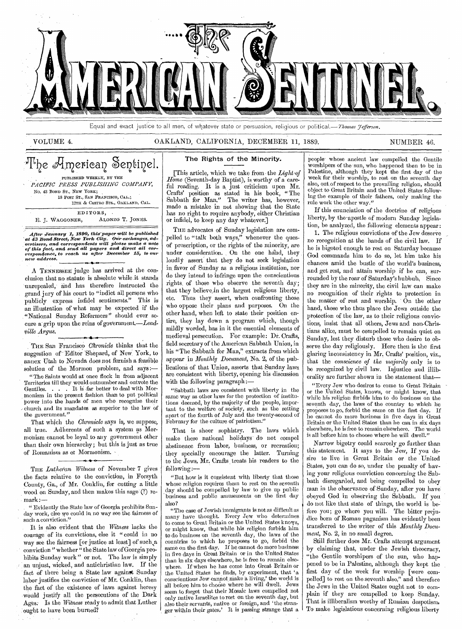

Equal and exact justice to all men, of whatever state or persuasion, religious or political.—Thomas Jefferson.

#### VOLUME 4. OAKLAND, CALIFORNIA, DECEMBER 11, 1889. NUMBER 46.

#### I'he American Sentinel. PUBLISHED WEEKLY, BY THE *PACIFIC PRESS PUBLISHING COMPANY,*  No. 43 BOND ST., NEW YORK; 18 POST ST., SAN FRANCISCO, CAL.; & CASTRO STS., OAKLAND, CAL. EDITORS, . F. J. WAGGONER, ALoNzo T. JONES.

After January 1, 1890, this paper will be published<br>at 43 Bond Street, New York City. Our exchanges, ad-<br>vertisers, and correspondents will please make a note<br>of this fact, and send all papers and direct all cor-<br>responden *new address.* 

A TENNESSEE judge has arrived at the conclusion that no statute is absolute while.it stands unrepealed,' and has therefore instructed the grand jury of his court to "indict all persons who publicly express infidel sentiments." This is an illustration of what may be expected if the "National Sunday Reformers" should ever secure a grip upon the reins of government.-Lead*vale Argus.* 

THE. San Francisco *Chronicle* thinks that the suggestion of Editor Shepard, of New York, to annex Utah to Nevada does not furnish a feasible solution of the Mormon problem, and says:-

. "The Saints would at-once flock in from adjacent Territories till they would outnumber and outvote the Gentiles. . . . It is -far better to deal with Mormonism in the present fashion than to put political power into the hands of men who recognize their church and its mandates as superior to the law of the government."

That which the *Chronicle* says is, we suppose, all true. Adherents of such a system as Mormonism cannot be loyal, to any government other than their own hierarchy; but this is just as true of Romanism as or Mormonism.

THE *Lutheran Witness* of November 7 gives the facts relative to the conviction, in Forsyth County, Ga., of Mr. Conklin, for cutting a little wood on Sunday, and then makes this sage (?) re-, mark:—

" Evidently the State law of Georgia prohibits Sunday work, else we could in no way see the fairness of such a conviction."

It is also evident that the *Witness* lacks the courage of its convictions, else it " could in no way see the fairness [or justice at least] of such ,a conviction " whether " the State law of Georgia prohibits Sunday work" or not. The law is simply an unjust, wicked, and antichristian law. If the fact of tbere being a State law against Sunday labor justifies the conviction of Mr. Conklin, then the fact of the existence *of* laws against heresy would justify all the persecutions of the Dark Ages: Is the *Witness- ready* to admit that Luther :ought to have been burned?

#### The Rights of the Minority.

[This article, which we take from the *Light-of*  Home (Seventh-day Baptist), is worthy of a careful reading. It is a just criticism upon Mr. Crafts' position as stated in his book, " The Sabbath for Man." The writer has, however, made a mistake in not showing that the State has no right to require anybody, either Christian or infidel, to keep any day whatever.]

THE advocates of Sunday legislation are compelled to "talk both ways," whenever the quesof proscription, or the rights of the minority, are under consideration. On the one hand, they loudly assert that they do not seek legislation in favor of Sunday as a religious institution, nor do they intend to infringe upon the conscientious rights, of those who observe the seventh day; that they believe in the largest religious liberty, etc. Thus they assert, when confronting those who oppose their plans and purposes. On the other hand, when left to state their position entire, they lay down a program which, though mildly worded, has in it the essential elements of medieval persecution. For example: Dr. Crafts, field secretary of the American Sabbath Union, in his "The Sabbath for Man," extracts from which appear in *Monthly Document,* No. 2, of the publications of that Union, asserts that Sunday laws are consistent with liberty, opening his discussion with the following paragraph:—

"Sabbath laws are consistent with liberty in the same way as other laws for the protection of institutions deemed, by the majority of the people, important to the welfare of society, such as the setting apart of the fourth of July and the twenty-second of February for the culture of patriotism.'

That is sheer sophistry. The laws which make these national holidays do not compel abstinence from labor, business, or recreation; they specially encourage the latter. Turning to the Jews, Mr. Crafts treats his readers to the following:—

" But how is it consistent with liberty that those whose religion requires them to rest on the seventh day should be compelled by law to give up public business and public amusements on the first day also?

"The case of Jewish immigrants is not as difficult as many have thought. Every Jew who determines to come to Great Britain or the United States knows, or might know, that while his religion forbids him to do business on the seventh day, the laws of the countries to which he proposes to go, forbid the same on the first day. If he cannot do more business in five days in Great Britain or in the United States than in six days elsewhere, he is free to remain elsewhere. If when he has come into Great Britain or the United States he finds, by experiment, that 'a conscientious Jew cannot. make a living,' the world is all before him to choose where he will dwell. Jews seem to forget that their Mosaic laws compelled not only native Israelites to rest on the. seventh day, but also their servants, native or foreign, and 'the stranger within their gates.' It is passing strange that a

people- whose ancient law compelled the Gentile worshipers of the sun, who happened then to be in Palestine, although they kept the first day of the week for their worship, to rest on the seventh day also, out.of respect to the prevailing religion, should object to Great Britain and the United States following the example of their fathers, only making the rule work the other way."

If this enunciation of the doctrine of religious liberty, by the-apostle of modern Sunday legislation, be analyzed, the following elements appear:

1. The religious convictions of the Jew deserve no recognition at the hands of the civil law. If he is bigoted enough to rest on Saturday because God commands him to do so, let him take his chances amid the bustle of the world's business, and get rest, and attain worship if he can, surrounded by the roar of Saturday's hubbub, Since they are in the minority, the civil law can make no recognition of their rights to protection in the matter of rest and worship. ' On the other hand, those who thus place the Jews outside the protection of the law, as to their religious convictions, insist that all others, Jews and non-Christians alike, must be compelled to remain quiet on Sunday, lest they disturb those who desire to observe the day religiously. Here then is the first glaring inconsistency in Mr. Crafts' position, viz., that the *conscience of the majority* only is to be recognized by civil law. Injustice and illiberality are further shown in the statement that—

"Every Jew who desires to come to Great Britain or the United States, knows, or might know, that while his religion forbids him to do business on the seventh day, the laws of the country to which he proposes to go, forbid the same on the first day. If he cannot do more business in five days in Great Britain or the United States than he can in six days elsewhere, he is free to remain elsewhere. The world is all before him to choose where he will dwell."

Narrow bigotry could scarcely go further than this statement. It says to the Jew, If you desire to live in Great Britain or the United States, you can do so, under the penalty of having your religious conviction concerning the Sabbath disregarded, and being compelled to obey man in the observance of Sunday, after you have obeyed God in observing the Sabbath. If you do not like that state of things, the world is before you; go where you will. The bitter prejudice born of Roman paganism has evidently been transferred to the writer of this *Monthly Document,* No. 2, in no small degree.

Still further does Mr. Crafts attempt argument by claiming that, under the Jewish theocracy, "the Gentile worshipers of the sun, who happened to be in Palestine, although they kept the first day of the week for worship [were compelled] to rest on the seventh also," and therefore the Jews in the United States ought not to complain if they are compelled to keep Sunday. That is illiberalism worthy of Russian despotism, To make legislations concerning religious liberty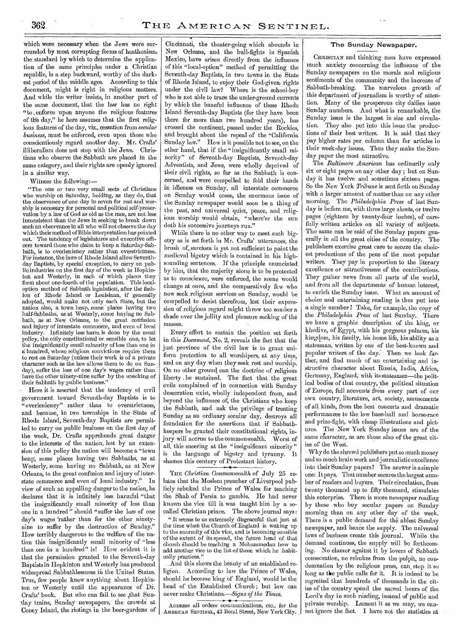which were necessary when the Jews were surrounded by most corrupting forms of heathenism, the standard by which to determine the application of the same principles under a Christian republic, is a step backward, worthy of the darkest period of the middle ages. According to this document, might is right in religious matters. And while the writer insists, in another part of the same document, that the law has no right "to enforce upon anyone the religious features of the day," he here assumes that the first religious features of the day, viz., cessation from *secular business,* must be enforced, even upon those who conscientiously regard another day. Mr. Crafts' illiberalism does not stop with the Jews. Christians who observe the Sabbath are placed in the same category, and their rights are openly ignored in a similar way.

Witness the following:—

"The one or two very small sects of Christians who worship on Saturday, holding, as they do, that the observance of one day in seven for rest and worship is necessary for personal and political self-preservation by a law of God as old as the race, are not less inconsistent than the Jews in seeking to break down such an observance in all who will not observe the day which their method of Bible interpretation has pointed out. The tendency of legislatures and executive officers toward those who claim to keep a Saturday-Sabbath, is to overleniency rather than overstrictness. For instance, the laws of Rhode Island allow Seventhday Baptists, by special exception, to carry on public industries on the first day of the week in Hopkinton and Westerly, in each of which places they ' form about one-fourth of the population. This localoption method of Sabbath legislation, after the fashion of Rhode -Island or Louisiana, if generally adopted, would make not only each State, but the nation also, a town heap, some places having two half-Sabbaths, as at Westerly, some having no Sabbath, as at New Orleans, to the great confusion and injury of interstate commerce, and even of local industry. Infinitely less harm is done by the usual policy, the only constitutional or sensible one, to let the insignificantly small minority of less than one in a hundred, whose religious convictions require them to rest on Saturday (unless their work is of a private character such as the law allows them to do on Sunday), suffer the loss of one day's wages rather than have the other ninety-nine suffer by the wrecking of their Sabbath by;public business."

Here it is asserted that the tendency of civil government toward Seventh-day Baptists is to "overleniency" rather than to overstrictness, and because, in two townships in the State of Rhode Island, Seventh-day Baptists are permitted to carry on public business on the first day of the week, Dr. Crafts apprehends great danger to the interests of the nation, lest by an extension of this policy the nation will become a "town heap; some places having two Sabbaths, as at Westerly, some having no Sabbath, as at New Orleans, to the great confusion and injury of interstate commerce and even of local industry." In view of such an appalling danger to the nation, he declares that it is infinitely less harmful "that the insignificantly small minority of less than one in a hundred" should "suffer the loss of one day's wages 'rather than for the other ninetynine to suffer by the destruction of Sunday." How terribly dangerous to the welfare of the nation this insignificantly small minority of "less than one in a hundred" is! How evident it is that the permission granted to the Seventh-day Baptists in Hopkinton and Westerly has produced widespread Sabbathlessuess in the United States. True, few people knew anything about Hopkinton or Westerly until the appearance of Dr. Crafts' book. But who can fail to see ,that Sunday trains, Sunday newspapers, the crowds at Coney Island, the riotings in the beer-gardens of Cincinnati, the theater-going which abounds in New Orleans, and the bull-fights in Spanish Mexico, have arisen directly from the influence of this "local-option" method of permitting the Seventh-day Baptists, in two towns in the State of Rhode Island, to enjoy their God-given, rights under the civil law? Where is the school-boy who is not able to trace the under-ground currents by which the baneful influence of these Rhode Island Seventh-day Baptists (for they have been there for more than two hundred years), has crossed the continent, passed under the Rockies, and brought about the repeal of the "California Sunday law." How is it possible not to see, on the other hand, that if the "insignificantly small minority" of Seventh-day Baptists, Seventh-day Adventists, and Jews, were wholly deprived of their civil rights, so far as the Sabbath 'is concerned, and were compelled to fold their hands in idleness on Sunday, all interstate commerce on Sunday would cease, the enormous issue of the Sunday newspaper would soon be a thing of the past, and universal quiet, peace, and religious worship would obtain, "where'er the sun doth his successive journeys run."

While there is no other way to meet such bigotry as is set forth in Mr. Crafts' utterances, the brush of, sarcasm is yet not sufficient to paint the medieval bigotry which is contained in his highsounding sentences. If the principle enunciated by him, that the majority alone is to be protected as to conscience, were enforced, the scene would change at once, and the comparatively few who now seek religious services on Sunday, would be compelled to desist therefrom, lest their expression of religious regard might throw too somber a shade over the jollity and pleasure seeking of the masses.

Every effort to sustain the position set forth in this *Document,* No. 2, reveals the fact that the just province of the civil law is to grant uniform protection to all worshipers, at any time, and on any day when they seek rest and worship. On no other ground, can the doctrine of religious liberty be sustained. The fact that the great evils complained of in connection with Sunday desecration exist, wholly independent from, and beyond the influence of, the Christians who keep the Sabbath, and ask the privilege of treating Sunday as an ordinary secular day, destroys all foundation for the assertions that if Sabbathkeepers be granted their constitutional rights, injury will accrue to the commonwealth. Worst of all, this sneering at the "insignificant minority" is the language of bigotry and tyranny. It shames this century of Protestant history.

THE *Christian Commonwealth* of July 25 relates that the Moslem preacher of Liverpool publicly rebuked the Prince of Wales for teaching the Shah of Persia to gamble. He had never known the vice till it was taught hini by a socalled Christian prince. The above journal says:

" It seems to us extremely disgraceful that just at the time when the Church of England is waking up to the enormity of this vice, and is becoming sensible of the extent of its spread, the future head of that church Should be teaching a Mohammedan how to add another vice to the list of those which he .habitually practices."

And this shows the beauty of an established religion. According to law the Prince of Wales, should he become king of England, would be the head of the Established Church ; but law can never make Christians.—Signs of the Times.

.<br>-<del>ه. ن@</del> - نم ADDRESS all orders communications, etc., for the AMERICAN SENTINEL, 43 Bond Street, New York City.

#### The Sunday Newspaper.

- CHRISTIAN and thinking men have expressed much anxiety concerning the influence of the Sunday newspapers on the morals and religious sentiments of the community and the increase of Sabbath-breaking. The marvelous growth of this department of journalism is worthy of attention. Many of the prosperous city dailies issue Sunday numbers. And what is remarkable, the Sunday issue is the largest in size and circulation. They also put into this issue the produc- tions of their best writers. It is said that they pay higher rates per column than for articles in their week-day issues. Thus they make the Sunday paper the most attractive.

The *Baltimore American* has ordinarily only six or eight pages on any other day ; but on Sunday it has twelve and sometimes sixteen pages. So the New York *Tribune* is sent forth on Sunday with a larger amount of matter than on any other morning. The *Philadelphia Press* of last Sunday is before me, with three large sheets, or twelve pages (eighteen 'by twenty-four inches), of carefully written articles on all variety of subjects. The same can be said of the Sunday papers generally in all the great cities of the country. The publishers exercise great care to secure the choicest productions of the pens of the most popular writers. They pay in proportion to the literary excellence or attractiveness of the contributions. They gather news from all parts of the world, and from all the departments of human interest, to enrich the Sunday issue. What an amount of choice and entertaining reading is thus put into a single number ! Take, for example, the copy of the *Philadelphia Press* of last Sunday.. There we have- a graphic description of the king, or khedive, of Egypt, with his gorgeous palaces, his kingdom, his family, his home life, his ability as a statesman, written by one of the best-known and popular Writers of the day.' Then- we look farther, and find much of an entertaining and instructive character about Russia, India, Africa, Germany, England, with its statesmen—the political bodies of that country, the political situation of Europe, full accounts from every part of our own country, literature, art, society, amusements of all kinds, from the best concerts and dramatic performances to the low base-ball and horse-race and prize=fight, with cheap illustrations and pictures. The New York Sunday issues are of the same character, as are those also of the great cities of- the West.

--Why do the shrewd publishers put so much money and so much brain work and journalistic excellence into their Sunday papers? The answer is a simple one: It pays. That number secures the largest number of readers and buyers. Their circulation, from twenty thousand up to fifty thousand, stimulates this enterprise. There is more newspaper reading by those who buy secular papers on Sunday morning than on any other day of the week. There is a public demand for the ablest Sunday newspaper, and hence the supply. The universal laws of business create this journal. While the demand continues, the supply will be forthcoming. No clamor against it by lovers of Sabbath consecration, no rebukes from the pulpit, no condemnation by the religious press, can stop it so long as the public calls for it. It is indeed to be regretted that hundreds of thousands in the cities of the country spend the sacred hours of the Lord's day in such reading, instead of public and private worship. \_ Lament it as we may, we cannot ignore the fact. I have not the statistics at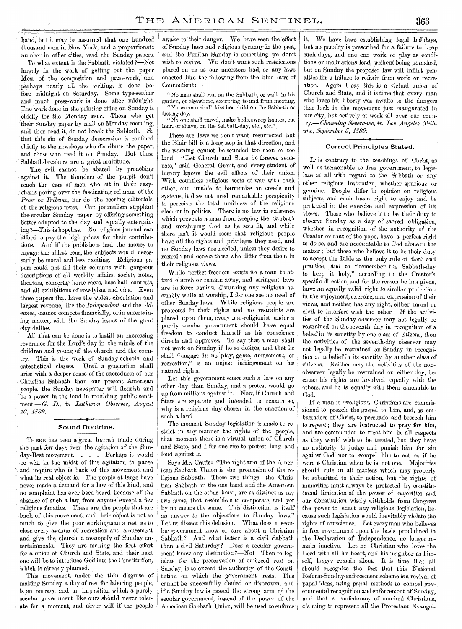hand, but it may be assumed that one hundred thousand men in New York, and a proportionate number in other cities, read the Sunday papers.

To what extent is the Sabbath violated ?—Not largely in the work of getting out the paper Most of the composition and press-work,' and perhaps nearly all the writing, is done before midnight on Saturday. Some type-setting and much press-work is done after midnight. The work done in the printing office on Sunday is chiefly for the Monday issue. Those who get their Sunday paper by mail on Monday morning, and then read it, do not break the Sabbath. So that this sin of Sunday desecration is confined chiefly to the newsboys who distribute the paper, and those who read it on Sunday. But these Sabbath-breakers are a great multitude.

The evil cannot be abated by preaching against it. The thunders of the pulpit don't reach the ears of men who sit in their easychairs poring over the fascinating columns of the *'Press* or *Tribune,* nor do the scoring editorials of the religious press. Can journalism supplant the secular Sunday paper by offering something better adapted to the day and equally entertaining ?—This is hopeless. No religious journal can afford to pay the high prices for their contributions. And if the publishers had the money to engage the ablest pens, the subjects would necessarily be moral and less exciting. Religious papers could not fill their columns with gorgeous descriptions of all worldly affairs, society notes, theaters, concerts,' horse-races, base-ball contests, and all exhibitions of rowdyism and vice. Even those,papers that have the widest circulation and largest revenue, like the *Independent* and the *Advance,* cannot compete financially, or in entertaining matter, with the Sunday issues of the great city dailies.

All that can be done is to instill an increasing reverence for the Lord's day in the minds of the children and young of the church and the country. This is the work of Sunday-schools and catechetical classes. Until a generation shall arise with a deeper sense of the sacredness of our Christian Sabbath than our present American people, the Sunday newspaper will flourish and be a power in the land in moulding public sentiment.—G. *D., in Lutheran Observer, August 16, 1889.* 

#### Sound Doctrine,

' THERE has been a great hurrah made during the past few days, over the agitation of the Sunday-Rest movement. . . . Perhaps it would -be well in the midst of this agitation to pause and inquire who is back of this movement, and what its real object is. The people at large have never made a demand for a law of this kind, and no complaint has ever been heard because of the absence of such a law, from anyone-except a few religious fanatics. These are the people that are -back of this movement, and their object is not so much to give the poor workingman a rest as to close every avenue of recreation and amusement and give the church a monopoly of Sunday entertainments. They are making the first effort for a union of Church and State, and their next one will be to introduce God into the Constitution, Which is already planned.

This movement, under the thin disguise of making Sunday a day of rest for laboring people, is an outrage and an imposition which a purely secular government like ours should never tolerate for a moment, and never will if the people awake to their danger. We have seen the effect of Sunday laws and religious tyranny in the past, and the Puritan Sunday is something we don't wish to revive. We don't want such restrictions placed on us as our ancestors had, or any laws enacted like the following from the blue laws of Connecticut:—

" No man shall run on the Sabbath, or walk in his garden, or elsewhere, excepting to and from meeting. "No woman shall kiss her child on the Sabbath or fasting-day.

"No one shall travel, make beds, sweep houses, cut hair, or shave, on the Sabbath-day, etc., etc.

These are laws we don't want resurrected, but the Blair bill is a long step in that direction, and the warning cannot be sounded too soon or too loud. "Let Church and State be forever separate," said General Grant, and every student of history knows the evil effects of their union. With countless religious sects at war with each -other, and unable . to harmonize on creeds and systems, it does not need remarkable perspicuity to perceive the total unfitness of the religious element in politics. There is no law in existence which prevents a man from keeping the Sabbath and worshiping God as he sees fit, and while there isn't it would seem that religious people have all the rights and privileges they need, and no Sunday laws are needed, unless they desire to restrain and coerce those who differ from them in their religious views.

While perfect freedom exists for a man to attend church or remain away, and stringent laws are in force against disturbing any religious assembly while at worship, I for one see no need of other Sunday laws. While religious people are protected in their rights and no restraints are placed upon them, every non-religionist under a purely secular government should have equal freedom to conduct himself as his conscience directs and approves. To say that a man shall not work on Sunday, if he so desires, and that he shall *"engage* in no play, game, amusement, or recreation," is an unjust infringement on his natural rights.

Let this government enact such a law on any other day than Sunday, and a protest would go up from millions against it. Now, if Church and State are separate and intended to remain so, why is a religious day chosen in the enaction of such a law?

The moment Sunday legislation is made to restrict in any manner the rights of the people, that moment there is a virtual union of Church and State, and I for one rise to protest long and loud against it.

Says Mr. Crafts: "The right arm of the American Sabbath Union is the promotion of the religious Sabbath. These two things—the Christian Sabbath on the one hand and the American Sabbath on the other hand, are as distinct as mytwo arms, that resemble and co-operate, and yet by no means the same. This distinction is itself an answer to the objections to Sunday laws." Let us dissect this delusion. What does a secular government know or care about a Christian Sabbath ? And what better is -a civil Sabbath than a civil Saturday? Does a secular government know any distinction ?—No! Then to legislate for the preservation of enforced rest on Sunday, is to-exceed the authority of the Constitution on which the government rests. This cannot be successfully denied or disproven, and if a Sunday law is passed the strong arm of the secular government, instead of the power of the American Sabbath Union, will be used to enforce

it. We have laws establishing legal holidays, but no penalty is prescribed for a failure to keep such days, and one can work or play as conditions or inclinations lead, without *being* punished,, but on Sunday the proposed law will inflict penalties for a failure to refrain from work or recreation. Again I say this is a virtual union of Church and State, and it is time that every man who loves his liberty was awake to the dangers that lurk in the movement just inaugurated in our city, but actively at work all over our country.— *Channing Severance, in Los Angeles Tribune, September 5, 1889.* 

#### Correct Principles Stated.

IT is contrary to the teachings of Christ, as well as treasonable to free government, to legislate at all with regard to the Sabbath or any other religious institution, whether spurious or genuine. People differ in opinion on religious subjects, and each has a right to *enjoy* and be protected in the exercise and expression of his views. Those who believe it to be their duty to observe Sunday as a day of sacred obligation, whether in recognition of the authority of the Creator or that of the pope, have a perfect right to do so, and are accountable to God alone in the matter; but those who believe it to be their duty to accept the Bible as the only rule of faith and practice, and to "remember the Sabbath-day to keep it holy," according to the Creator's specific direction, and for the reason he has given. have an equally valid right to similar protection in the enjoyment, exercise, and expression of their views, and neither has any right, either moral or civil, to interfere with the other. If the activities of the Sunday observer may not legally be restrained on the seventh day in recognition of a belief in its sanctity by one class of citizens, then the activities of the seventh-day observer may not legally be restrained on Sunday in recognition of a belief in its sanctity by another *class* of citizens. Neither may the activities of the nonobserver legally be restrained on either day, because his rights are involved equally with the others, and he is equally with them amenable to God.

If a man is irreligious, Christians are commissioned to preach the gospel to him, and, as embassadors of Christ, to persuade and beseech him to repent; they are instructed to pray for him, and are commanded to treat him in all respects as they would wish to be treated, but they have no authority to judge and punish him for sin against God; nor to compel him to act as if he .were a Christian when he is not one. Majorities should rule in all matters which may properly be submitted to their action, but the rights of minorities must always be protected by constitutional limitation of the power of majorities, and our Constitution wisely withholds from Congress the power to enact any religious legislation, because such legislation would inevitably violate the rights of conscience. Let every man who believes in free government upon the basis proclaimed in the Declaration of Independence, no longer remain inactive. Let no Christian who loves the Lord with all his heart, and his neighbor as himself, longer remain silent. It is time that all should recognize the fact that this National Reform-Sunday-enforcement scheme is a revival of papal ideas, using papal methods to compel governmental recognition and enforcement of Sunday, and that a confederacy of nominal Christians, claiming to represent all the Protestant Evangel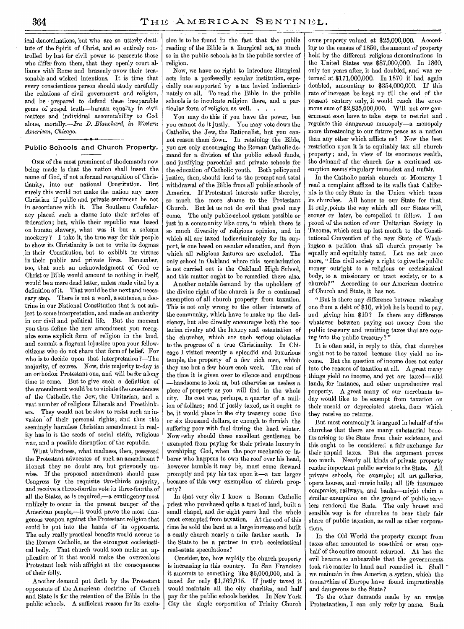ical denominations, but who are so utterly destitute of the Spirit of Christ, and so entirely controlled by lust for civil power to persecute those who differ from them, that they openly court alliance with Rome and brazenly avow their treasonable and wicked intentions. It is time that every conscientious person should study carefully the relations of civil government and religion, and be prepared to defend these inseparable gems of gospel truth—human equality in civil matters and individual accountability to God alone, morally.—Ira *D. Blanchard, in Western American, Chicago.* 

#### Public Schools and Church Property.

ONE of the most prominent of the demands now being made is that the nation shall insert the name of God, if not a formal recognition of Christianity, into our national Constitution. But surely this would not make the nation any more Christian if public and private sentiment be not in accordance with it. The Southern Confederacy placed such a clause into their articles of federation; but, while their republic was based on human slavery, what was it but a solemn mockery? I take it, the true way for this people to show its Christianity is not to write its dogmas in their Constitution, but to exhibit its virtues in their public and private lives. Remember, too, that such an acknowledgment of God or Christ or Bible would amount to nothing in itself, would be a mere dead letter, unless made vital by a definition of it. That would be the next and necessary step. There is not a word, a sentence, a doctrine in our National Constitution that is not subject to some interpretation, and made an authority in our civil and political life. But the moment you thus define the new amendment you recognize some explicit form of religion in the land, and commit a flagrant injustice upon your fellowcitizens who do not share that form of belief. For who is to decide upon that interpretation ?—The majority, of course. Now, this majority to-day is an orthodox Protestant one, and will be for along time to come. But to give such a definition of the amendment would be to violate the consciences of the Catholic, the Jew, the Unitarian, and a vast number of religious Liberals and Freethinkers. They would not be slow to resist such an invasion of their personal rights; and thus this seemingly harmless Christian amendment in reality has in it the seeds of social strife, religious war, and a possible disruption of the republic.

What blindness, what madness, then, possessed the Protestant advocates of such an amendment ? Honest they no doubt are, but grievously unwise. If the proposed amendment should pass Congress by the requisite two-thirds majority, and receive a three-fourths vote in three-fourths of all the States, as is required,—a contingency most unlikely to occur in the present temper of the American people,—it would prove the most dangerous weapon against the Protestant religion that could be put into the hands of its opponents. The only really practical benefits would accrue to the Roman Catholic, as the -strongest ecclesiastical body. That church would soon make an application of it that would make the overzealous Protestant look with affright at the consequences of their folly.

Another demand put forth by the Protestant opponents of the American doctrine of Church and State is for the retention of the Bible in the public schools. A sufficient reason for its exclusion is to be found in the fact that the public reading of the Bible is a liturgical act, as much so in the public schools as in the public service of religion.

Now, we have no right to introduce liturgical acts into a professedly secular institution, especially one supported by a tax levied indiscriminately on all. To read the Bible in the public schools is to inculcate religion there, and a particular form of religion as well.

You may do this if you have the power, but you cannot do it justly. You may vote down the Catholic, the Jew, the Rationalist, but you cannot reason them down. In retaining the Bible, you are only encouraging the Roman Catholic demand for a division of the public school funds, and justifying parochial and private schools for the education of Catholic youth. Both policy and justice, then, should lead to the prompt and total withdrawal of the Bible from all public schools of America. If Protestant interests suffer thereby, so much the more shame to the Protestant Church. But let us not do evil that good may come. The only public-school system possible or just in a community like ours, in which there is so much diversity of religious opinion, and in which all are taxed indiscriminately for its support, is one based on secular education, and from which all religious features are excluded. The only school in Oakland where this secularization is not carried out is the Oakland High School, and this matter ought to be remedied there also.

Another notable demand by the upholders of the divine right of the church is for a continued exemption of all church property from taxation. This is not only wrong to the other interests of the community, which have to make up the deficiency, but also directly encourages both the sectarian rivalry and the luxury and ostentation of the churches, which are such serious obstacles to the progress of a true Christianity. In Chicago I visited recently a splendid and luxurious temple, the property of a few rich men, which they use but a few hours each week. The rest of the time it is given over to silence and emptiness —handsome to look at, but otherwise as useless a piece of property as you will find in the whole city. Its cost was; perhaps, a quarter of a million of dollars ; and if justly taxed, as it ought to be, it would place in the city treasury some five or six thousand dollars, or enough to furnish the suffering poor with fuel during the hard winter. Now ,why should these excellent gentlemen be exempted from paying for their private luxury in worshiping God, when the poor mechanic or laborer who happens to own the roof over his head, however humble it may be, must come forward promptly and pay •his tax upon it—a tax larger because of this very exemption of church property?

In that very city I knew a Roman Catholic priest who purchased quite a tract of land, built a small chapel, and for eight years had the whole tract exempted from taxation. At the end of this time he sold the land at a large increase and built a costly church nearly a mile farther south. Is the State to be a partner in such ecclesiastical real-estate speculations ?

Consider, too, how rapidly the church property is increasing in this country. In San Francisco it amounts to something like \$6,000,000, and is taxed for only \$1,769,915. If justly taxed it would maintain all the city charities, and half pay for the public schools besides. In New York City the single corporation of Trinity Church owns property valued at \$25,000,000. According to the census of 1850, the amount of property held by the different religious denominations in the United States was \$87,000,000. In 1860, only ten years after, it had doubled, and was returned at \$171,000,000. In 1870 it' had again doubled, amounting to \$354,000,000. If this rate of increase be kept up till the end of the present century only, it would reach the enormous sum of \$2,835,000,000. Will not our government soon have to take steps to restrict and regulate this dangerous monopoly—a monopoly more threatening to our future peace as a nation than any other which afflicts us? Now the best restriction upon it is to equitably tax all church property; and, in view of its enormous wealth. the demand of the church for a continued exemption seems' singulary immodest and unfair.

In the Catholic parish church at Monterey I read a complaint affixed to its walls that California is the only State in the Union which taxes its churches. All honor to our State for that. It only.points the way which all our States will, sooner or later, be compelled to follow. I am proud of the action of our Unitarian Society in Tacoma, which sent up last month to the Constitutional Convention of the new State of Washington a petition that all church property be equally and equitably taxed. Let me ask once more, "Has civil society a right to give the public money outright to a religious or ecclesiastical body, to a missionary or tract society, or to a church?" According to our American doctrine of'Church and State, it has not.

"But is there any difference between releasing one from a debt of \$10, which he is bound to pay, and giving him \$10? Is there any difference whatever between paying out money from the public treasury and remitting taxes that are coming into the public treasury?"

It is often said, in reply to this, that churches ought not to be taxed because they yield no income. But the question of income does not enter into the reasons of taxation at all. A great many .things yield no income, and yet are taxed—wild lands, for instance, and other unproductive real property. A great many of our merchants today would like to be exempt from taxation on their unsold or depreciated stocks, from which they receive no returns.

But most commonly it is argued in behalf of the churches that there are many substantial benefits arising to the State from their existence, and this ought to be considered a fair exchange for their unpaid taxes. But the argument proves too much. Nearly all kinds of private property render important public service to the State. All private schools, for example; all art galleries, opera houses, and 'music halls; all life insurance companies, railways, and banks—might claim a similar exemption on the ground of public services rendered the State. The only honest and sensible way is for churches to bear their fair share of public taxation, as well as other corporations.

In the Old World the property exempt from taxes often amounted to one-third or even onehalf of the entire amount returned. At last the evil became so unbearable that the governments took the matter in hand and remedied it. Shall we maintain in free America a system. which the monarchies of Europe have found impracticable and dangerous to the State ?

To the other demands made by an unwise Protestantism, I can only refer by name. Such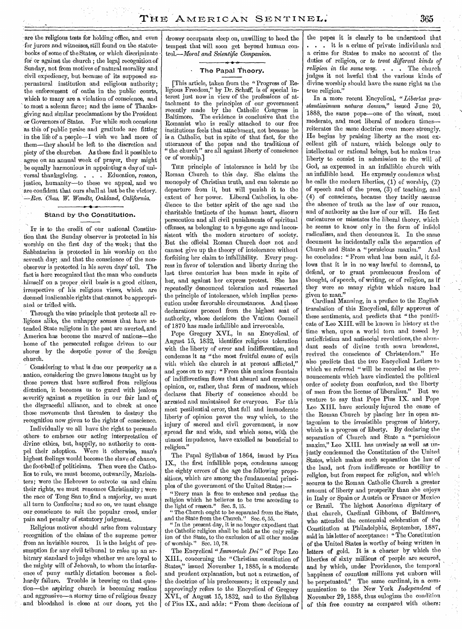-are the religious tests for holding office, and even for jurors and witnesses, still found on the statutebooks of some of the States, or which discriminate for or against the church ; the legal recognition of Sunday, not from motives of natural morality and civil expediency, but because of its supposed supernatural institution and religious authority; the enforcement of oaths in the public courts, which to many are a violation of conscience, and to most a solemn farce; and the issue of Thanksgiving and similar proclamations by the President or Governors of States. For while such occasions as this of public praise and gratitude are fitting in the life of a people- $-1$  wish we had more of them—they should be left to the discretion and piety of the churches. As these find it possible to agree on an annual week of prayer, they might be equally harmonious in appointing a day of universal thanksgiving. . . . Education, reason, justice, humanity—to these we appeal, and we are confident that ours shall at last be the victory. *—Rev. Chas. W Wendte, Oakland, California.* 

#### Stand by-the Constitution.

Ir is to the credit of our national Constitution that the Sunday observer is protected in his worship on the first day of the week; that the Sabbatarian is protected in his worship on the seventh day; and that the conscience of the nonobserver is protected in his seven days' toil. The fact is here recognized that the man who conducts himself on a proper civil basis is a good citizen, irrespective of his religious views, which are deemed inalienable rights that cannot be appropriated or trifled with.

Through the wise principle that protects all religions alike, the unhappy scenes that have attended State religions in the past are averted, and America has become the marvel of nations—the home of the persecuted refugee driven to our shores by the despotic power of the foreign church.

Considering to what is due our prosperity as a nation, considering the grave lessons taught us by those powers that have suffered from religious dictation, it becomes us to guard with jealous severity against a repetition in our fair land of. the disgraceful alliance, and to check at once those movements that threaten to destroy the recognition now given to the rights of conscience.

Individually we all have the right to persuade others to embrace our acting interpretation of divine ethics, but, happily, no authority to compel their adoption. Were it otherwise, man's highest feelings would become the slave of chance, the foot' ball of politicians. Then were the Catholics to rule, we must become, outwardly, Mariolaters; were the Hebrews to outvote us and claim their rights, we must renounce Christianity; were the race of Tong San to find a majority, we must all turn to Confucius ; and so on, we must change our conscience to suit the popular creed, under pain and penalty of statutory judgment.

Religious motives should arise from voluntary, recognition of the claims of the supreme power from an invisible source. It is the height of presumption for any civil tribunal to raise up an arbitrary standard to judge whether we are loyal to the mighty will of Jehovah, to whom the interference of puny earthly dictation becomes a foolhardy failure. Trouble is brewing on that ques- .tion—the aspiring church is becoming restless and aggressive—a stormy time of religious frenzy and bloodshed is close at our doors, yet the

drowsy occupants sleep on, unwilling to heed the tempest that will soon get beyond human control.—Moral *and Scientific Companion.* 

#### The Papal Theory.

[This article, taken from the "Progress of Religious Freedom," by Dr. Schaff, is of special interest just now in view of the professions of attachment to the principles of our government recently made by the Catholic Congress in Baltimore. The evidence is conclusive that the The evidence is conclusive that the Romanist who is really attached to our free institutions feels that attachment, not because he is a Catholic, but in spite of that fact, for the utterances of the popes and the traditions of " the church " are all against liberty of conscience or of worship.]

THE principle of intolerance is held by the Roman Church to this day. She claims the monopoly of Christian truth, and can tolerate no departure from it, but will punish it to the extent of her power. Liberal Catholics, in obedience to the better spirit of the age and the charitable instincts of the human heart, disown persecution and all civil punishments of spiritual offenses, as belonging to a by-gone age and inconsistent with the modern structure of society. But the official Roman Church does not and cannot give up the theory of intolerance without forfeiting her claim to infallibility. Every progress in favor of toleration and liberty during the last three centuries has been made in spite of her, and against her express protest.\* She has repeatedly denounced toleration and reasserted the principle of intolerance, which implies persecution under favorable circumstances. And these declarations proceed from the highest seat of authority, whose decisions the Vatican Council of 1870 has made infallible and irrevocable.

Pope Gregory XVI., in an Encyclical, of August 15, 1832, identifies religious toleration with the liberty of error and indifferentism, and condemns it as "the most fruitful cause of evils with which the church is at present afflicted," and goes on to say: "From this noxious fountain of indifferentism flows that absurd and erroneous opinion, or, rather, that form of madness, which declares that liberty of conscience should be arrested and maintained for everyone. For this most pestilential error, that full and immoderate liberty of opinion paves the way which, to the injury of sacred and civil government, is now spread far and wide, and which some, with the utmost impudence, have extolled as beneficial to religion."

The Papal Syllabus of 1864, issued by Pius IX., the first infallible pope, condemns among the eighty errors of the age the following propositions, which are among the fundamental principles of the government of the United States:

"Every man is free to embrace and profess the religion which he believes to be true according to the light of reason." Sec. 3, 15. the light of reason."

"The Church ought to be separated from the State, and the State from the Church." Sec.  $6, 55$ .

In the present day, it is no longer expedient that the Catholic religion shall be held as the only religion of the State, to the exclusion of all other modes of worship." Sec. 10, 78.

The Encyclical *"Immortale Dei"* of Pope Leo XIII., concerning the "Christian constitution of States," issued November 1, 1885, is a moderate and prudent explanation, but not a retraction, of the doctrine of his predecessors; it expressly, and approvingly refers to the Encyclical of Gregory  $\tilde{\mathrm{XVI}}$ ., of August 15, 1832, and to the Syllabus of Pius IX., and adds: " From these decisions of the popes it is clearly to be understood that . . . it is a crime of private individuals and a crime for States to make no account of the duties of religion, or *to treat different kinds of religion in the same way. . . .* The church judges it not lawful that the various kinds of divine worship should have the same right as the true religion."

In a more recent Encyclical, "Libertas prœstantissimum natura donum," issued June 20, 1888, the same pope—one of the wisest, most moderate, and most liberal of modern times reiterates the same doctrine even more strongly. He begins by praising liberty as the most  $ex$ cellent gift of nature, which belongs only to intellectual or rational beings, but he makes true liberty to consist in submission to the will of God, as expressed in an infallible church with an infallible head. He expressly condemns what he calls the modern liberties, (1) of worship, (2) of speech and of the press, (3) of teaching, and (4) of conscience, because they tacitly assume the absence of truth as the law of our reason, and of authority as the law of our will. He first caricatures or misstates the liberal theory, which he seems to know only in the form of infidel radicalism, and then denounces it. In the same document he incidentally calls the separation of Church and State a "pernicious maxim." And he concludes: "From what has been said, it follows that it is in no way lawful to demand, to defend, or to grant promiscuous freedom of thought, of speech, of writing, or of religion, as if they were so many rights which nature had given to man."

Cardinal Manning, in a preface to the English translation of this Encyclical, fully approves of these sentiments, and predicts that "the pontificate of Leo XIII. will be known in history at the time when, upon a world torn and *tossed* by antichristian and antisocial revolutions, the abundant seeds of divine truth sown broadcast, revived the conscience of Christendom." He also predicts that the two Encyclical Letters to which we referred " will be recorded as the pronouncements which have vindicated the political order of society from confusion, and the liberty of men from the license of liberalism." But we venture to say that Pope Pius IX. and Pope Leo XIII. have seriously injured the cause of the Roman Church by placing her in open antagonism to the irresistible progress of history, which is a progress of liberty. By declaring the separation of Church and State a "pernicious maxim," Leo XIII. has unwisely as well as unjustly condemned the Constitution of the United States, which makes such separation the law of the land, not from indifference or hostility to religion, but from respect for religion, and which secures to the Roman Catholic Church a greater amount of liberty and prosperity than she enjoys in Italy or Spain or Austria or France or Mexico or Brazil. The highest American dignitary of that church, Cardinal Gibbons, of Baltimore, who attended the centennial celebration of the Constitution at Philadelphia; September, 1887, said in his letter of acceptance : " The Constitution of the United States is worthy of being written in letters of gold. It is a charter by which the liberties of sixty millions of people are secured, and by which, under Providence, the temporal happiness of countless millions yet unborn will be perpetuated." The same cardinal, in a communication to the New, York *Independent* of November 29, 1888, thus eulogizes the condition of this free country as compared with others: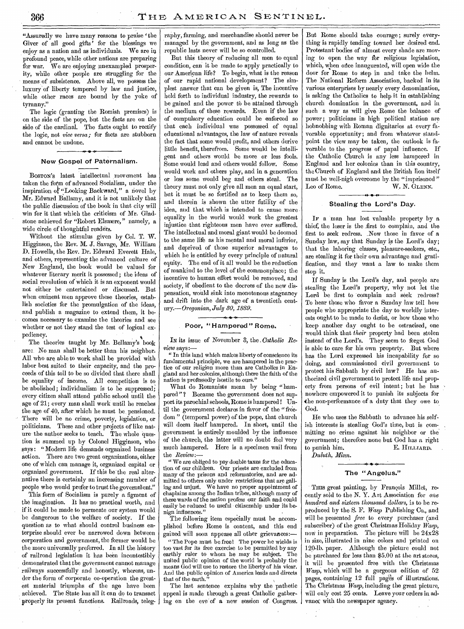"Assuredly we have many reasons to praise 'the Giver of all good gifts' for the blessings we enjoy as a nation and as individuals. We are in profound peace, while other nations are preparing for war. We are enjoying unexampled prosperity, while other people are struggling for the means of subsistence. Above all, we possess the luxury of liberty tempered by law and justice, while other races are bound by the yoke of tyranny."

The logic (granting the Romish premises) is on the side of the pope, but the facts are on the side of the cardinal. The facts ought to rectify the logic, not *vice versa;* for facts are stubborn and cannot be undone.

#### New Gospel of Paternalism.

BOSTON'S latest intellectual movement has taken the form of advanced Socialism, under the inspiration ot "Looking Backward," a novel by Mr. Edward Ballamy, and it is not unlikely that the public discussion of the book in that city will win for it that which the criticism of Mr. Gladstone achieved for "Robert Elsmere," namely, a wide circle of thoughtful readers.

Without the stimulus given by Col. T. W. Higginson, the Rev. M. J. Savage, Mr. William D. Howells, the Rev. Dr. Edward Everett Hale, and others, representing the advanced culture of New England, the book would be valued for whatever literary merit it possessed; the ideas of social revolution of which it is an exponent would not either be entertained or discussed. But when eminent men approve these theories, establish societies for the promulgation of the ideas, and publish a magazine to extend them, it becomes necessary to examine the theories and see whether or not they stand the test of logical expediency.

The theories taught by Mr. Bellamy's book are:. No man shall be better than his neighbor. All who are able to work shall be provided with labor best suited to their capacity, and the proceeds of this toil to be so divided that there shall be equality of income. All competition is to be abolished; individualism is to be suppressed; every citizen shall attend public school until the age of 21; every man shall work until he reaches the age of 40, after which he must be pensioned. There will be no crime, poverty, legislation, or politicians. These and other projects of like nature the author seeks to teach. The whole question is summed up by Colonel Higginson, who says : "Modern life demands organized business action. There are two great organizations, either one of which can manage it, organized capital or organized government. If this be the real alternative there is certainly an increasing number of people who would prefer to trust the government."

This form of Socialism is purely a figment of the imagination. It has no practical worth, and if it could be made to permeate our system would be dangerous to the welfare of society. If the question as to what should control business enterprise should ever be narrowed down between corporation and government, the former would be the more universally preferred. In all the history of railroad legislation it has been incontestibly demonstrated that the government cannot manage railways successfully and honestly, whereas, under the form of corporate co-operation the greatest material triumphs of the age have been achieved. The State has all it can do to transact properly its present functions. Railroads, telegraphy, farming, and merchandise should never be managed by the government, and as long as the republic lasts never will be so controlled.

But this theory of reducing all men to equal condition, can it be made to apply practically to our American life? To begin, what is the reason of our rapid national development? The simplest answer that can be given is, The incentive held forth to individual industry, the rewards to be gained and the power to be attained through the medium of these rewards. Even if the law of compulsory education could be enforced so that each individual was possessed of equal educational advantages, the law of nature reveals the fact that some would profit, and others derive little benefit, therefrom. Some would be intelligent and others would be more or less fools. Some would lead and others would follow. Some would work and others play, and in a generation or less some would beg and others steal. The theory must not only give all men an equal start, but it must be so fortified as to keep them so, and therein is shown the utter futility of the idea, and that which is intended to cause more equality in the world would work the greatest injustice that righteous men have ever suffered. The intellectual and moral giant would be doomed to the same life as his mental and moral inferior, and deprived of those superior advantages to which he is entitled by every principle of natural equity. The end of it all would be the reduction of mankind to the level of the commonplace; the incentive to human effort would be removed, and society, if obedient to the decrees of the new dispensation, would sink into monotonous stagnancy and drift into the dark age of a twentieth century.— *Oregonian, July 80, 1889.* 

#### Poor, "Hampered" Rome.

IN its issue of November 3, the , *Catholic Review* says:—

" In this land which makes liberty of conscience its fundamental principle, we are hampered in the practice of our religion more than are Catholics in England and her colonies, although there the faith of the nation is professedly hostile to ours."

What do Romanists mean by being "hampered"? Because the government does not support its parochial schools, Rome is hampered ! Until the government declares in favor of the "freedom" (temporal power) of the pope, that church will deem itself hampered. In short, until the government is entirely moulded by the influence of the church, the latter will no doubt feel 'very much hampered. Here is a specimen wail from the *Review*:

*"* We are obliged to pay double taxes for the education of our children. Our priests are excluded from many of the prisons and reformatories, and are admitted to others only under restrictions that are galling and unjust. We have no proper appointment of chaplains among the Indian tribes, although many of these wards of the nation profess our faith and could easily be reduced to useful citizenship under its benign influences." •

The following item especially must be accomplished before Rome is content, and this end gained will soon appease all other grievances:—

"The Pope must be free! The power he wields is too vast for its free exercise to be permitted by any earthly ruler to whom he may be subject. The earthly ruler to whom he may be subject. united public opinion of the world is probably the means God will use to restore the liberty of his vicar. And the public opinion of America leads and directs that of the earth.

The last sentence explains why the pathetic appeal is made through a great Catholic gathering on the eve'of a new session of- Congress.

But Rome should take courage ; surely everything is rapidly tending toward her desired end. Protestant bodies of almost every shade are moving to open the way fbr religious legislation, which, when once inaugurated, will open wide the door for Rome to step in and take the helm. The National Reform Association, backed in its various enterprises by nearly every denomination, is asking the Catholics to help it in establishing church domination in the government, and in such a way as will give Rome the balance of power; politicians in high political station are hobnobbing with Roman dignitaries at every favorable opportunity; and from whatever-standpoint the view may be taken, the outlook is favorable to the progress of papal influence. If the Catholic Church is any less hampered in England and her colonies than in this country, the Church of England and the British lion itself must be well-nigh overcome by the "imprisoned " Leo of Rome. W. N. GLENN.

#### Stealing the Lord's Day.

IF a man has lost valuable property by a thief, the loser is the ,first to complain, and the first to seek redress. .Now those in favor of a Sunday law, say that Sunday is the Lord's day; that the laboring classes, pleasure-seekers, etc., are stealing it for their own advantage and gratification, and they want a law to make them stop it.

If Sunday is the Lord's day, and people are stealing the Lord's property, why not let the Lord be first to 'complain and seek redress? To hear those who favor a Sunday law tell how people who appropriate the day to worldly interests ought to be made to desist, or how those who keep another day ought to be ostracised, one would think that *their* property had been stolen instead of the Lord's. They seem to forget God is able to care for his own property. But where has the Lord expressed his incapability for so doing, and commissioned civil government to protect his Sabbath by civil law? He has authorized civil government to protect life and property from persons of evil intent; but he has nowhere empowered it to punish its subjects for the non-performance of a duty that they owe to God.

He who- uses the Sabbath to advance his selfish interests is stealing God's time, but is committing no crime against his neighbor or the government; therefore none but God has a right<br>to punish him. E. HILLIARD. E. HILLIARD. *Duluth, Minn.* 

## **-I. • 4.**  The "Angelus."

THIS great painting, by François Millet, recently sold to the N. Y. Art Association for one *hundred and sixteen thousand dollars, is* to be reproduced by the S. F. *Wasp* Publishing Co., and will be presented *free* to every purchaser (and subscriber) of the great Christmas Holiday *Wasp,*  now in preparation. The picture will be 24x28 in size, illustrated in nine colors and printed on 120-lb. paper. Although the picture could not be purchased for less than \$5.00 at the art stores, it will be presented free with the Christmas *Wasp,* which will be a gorgeous edition of 52 pages, containing 12 full pages of illustrations. The Christmas *Wasp,* including the great picture, will only cost 25 cents. Leave your orders in advancc with the newspaper agency.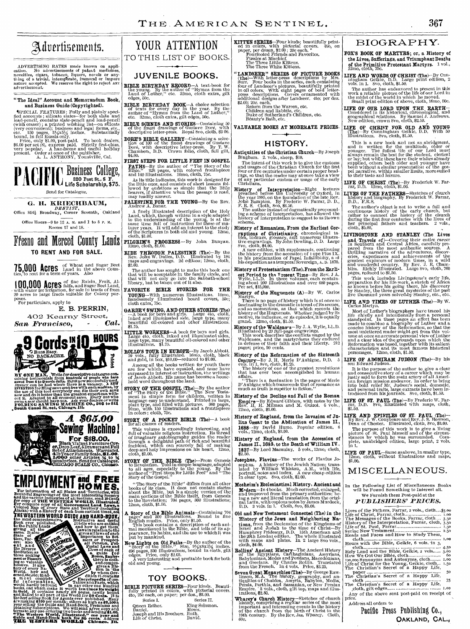## Advertisements.

ADVERTISING RATES made known on application. No advertisements of patent medicines, novelise, in novelises, to<br>have the service of the service of the service of a string of a trivial, intemperate, immoral or impure<br>nature

#### " The Ideal" Account and Memorandum Book<br>and Business Guide (Convrighted). and Business Guide (Copyrighted).

SPECIAL FEATURES: Fully and plainly specified accounts; silicate slates—for both slate and lead-pencil (with craser); a printed wishing list—on slicate (very convenient); business and legal forms, etc., they can be conven

# **PACIFIC BUSINESS COLLEGE.**<br> **PACIFIC Life Scholarship, \$75.**

Send for Catalogue.

#### G. H. KRIECHBAUM,

DENTIST, **DENTIST**, Office 854<sup>1</sup>/<sub>2</sub> Broadway, Corner Seventh, Oakland Office Hours- $-9$  to 12  $\Lambda$ . M. and 1 to 5 p. M.

Rooms 17 and 18.

## Fresno and Merced County Lands **TO RENT AND FOR SALE.**

**15,000 ACTES** I and in the above Counties, to rent for a term of years. Also

**MOO COMOC ACTES** fine Raisin, Fruit, Al-<br>with water for irrigation, for sale in tracts of from<br>20 acres to large tracts suitable for Colony purposes. For particulars, apply to

## E. B. PERRIN, 402 Kearny Street,<br>Expansisce and Cal

 $San$  *Francisco,* 







For information of all States and Territories, with Beautiful Engravings of the most interesting Scenery herious Industries of all Sections, send 10 cents for **copy of TUE WESTERN WORLD. Illustrate**<br>The copy of all Government Land lored Map of every State and Territory (including laska) with a History of each from earliest times, see<br>**HE WESTERN WORLD GUIDE AND HAND-BOOK** 

rus weiten wunter outle and nand-budal<br>the most comprehensive, instructive and useful Book ever published. It tells who are entitled to the Public Lands of them; and how to get them; and how to get them; and how to get them; and how to  $\frac{1}{\sqrt{2}}$  and  $\frac{1}{\sqrt{2}}$  and  $\frac{1}{\sqrt{2}}$  and  $\frac{1}{\sqrt{2}}$  and  $\frac{$ same. It also gives all the state of input is a state of the state of the state of importance to Set. tiers, Faront also we have a life of the piror of the piror of the piror of the piror of the piror of the piror of the pinor of the pinor of the pinor of the pinor of the pinor of the pinor of the pinor of the pinor of the pinor of those seeking e States; as 4W110;000 Laws of each of the states; as 40 dig to the control of the control of the control of the control of the control of the control of the control of the control of the control of the control of the cont tory of every Na-Fig. basic valuable if  $\frac{1}{2}$ <br>the States in the society. It also valuable in the second states of the second states of  $\frac{1}{2}$ <br>three cooling of  $\frac{1}{2}$  persistence is also valuable and compre. World, • how and erned,etc,ete: in ad- **PRIGHT !!** erned, and the most complete the experiments of the most complete which is the most complete which wish and have would hardly be wished to the most complete which have the most complete the weak of the property of the prop by whom Gov-<br>dition it-contains è. and Mallod to all part of the World for 50 Cents. It is the best selling Slock for Agents over published. Many are making \$100 per month; others as high as \$2,500 a for a straight and the same selling the Guide and Hand-Bo ee copy and<br>nding \$1.00 termsto any one ordering two books and sending \$1.00.<br>The Western World, Hinstrated," one year and<br>Gaide and Hand-Book both for 65 cents. Address<br>THE WESTERN WORLD Chicago. JIL

## YOUR ATTENTION TO THIS LIST OF BOOKS.

#### **JUVENILE BOOKS.**

BIBLE BIRTHDAY RECORD—A text-book for the young. By the author of "Hymns from the Land of Luther," etc. 32mo, cloth extra, gilt edges, 50c.

BIBLE BIRTHDAY BOOK—A choice selection of texts for every day in the year. By the author of "Hymns from the Land of Luther," etc. 32mo, cloth extra, gilt edges, 50c.

BIBLE SCENES AND STORIES—Containing 50 of the finest drawings of Gustave Dore, with descriptive letter-press. Royal 8vo, cloth, \$3 00.

DORE'S BIBLE GALLERY—Containing a selec-<br>tion of 100 of the finest drawings of Gustave<br>Dore, with descriptive letter-press. By T. W.<br>Chambers, D.D. Crown folio, cloth, full gilt,<br>\$4.00.

FIRST STEPS FOR LITTLE FEET IN GOSPEL PATHS—By the author of " The Story of the Bible." 828 pages, with colored frontispiece and 140 Illustrations. 16mo, cloth, 75c.

As its title indicates, this work is designed for the little ones, and consists of short lessons fol-lowed by qudstions so simple that the little hearers, if attentive when the passage is read, may readily answer.

PALESTINE FOR THE YOUNG--By the Rev.<br>Andrew A. Bonar.

A finely illustrated description of the Holy Land, which, though written in a style adapted to the understanding of the young, is at the same time full of instruction for those of maturer years. It will add an interest to

PILGRIM'S PROGRESS - By John Bunyan.<br>12mo, cloth, \$1.00. 12mo, cloth, \$1.00.

RIDE THROUGH PALESTINE (The)—By the Rev. John W. Dulles, D.D. Illustrated by 184<br>maps and engravings. 2d edition; 12mo, cloth,<br> $\sum_{n=0}^{\infty}$ .00.

The author has sought to make this book one that will be acceptable in the family circle, and that will not only go into the Sabbath-school library, but be taken out of it also.

FAVORITE BIBLE STORIES FOR THE YOUNG—With numerous illustrations. 16mo, handsomely illuminated board covers, 50c; cloth extra, 75c.

GARDE V SWING, AND OTHER STORIES (The)  $\frac{\text{A}-\text{A}}{\text{ihled and illuminated side}}$ , large 4to, cloth, inked and illuminated side, large type, many beautiful oil-colored and other illustrations, \$1.75.

LITTLE WORKERS—A book for boys and girls. Large 4to, cloth, inked and illuminated sides, large type, many beautiful oil-colored and other illustrations. \$1.75.

ROLLO'S TOUR IN EUROPE—By Jacob Abbott. 10 vols., fully illustrated. 16mo, cloth, black and gold, in box, \$10.00—reduced to \$7.00,

Among all the books written for youth there are few which have equaled, and none have surpassed in interest or instruction, the writings of Jacob Abbott. His name has become a house-hold word throughout the land.

**STORY OF THE GOSPEL (The)**—By the author of "The Story of the Bible." The New Testament in language easy to understand. Princed in large, plain type, and filled with pictures. 360 pages, in colors; cloth, 75c.

**STORY OF A POCKET BIBLE (The)**—A book for all classes of readers.<br>This volume is exceedingly interesting, and thil of valuable religious instruction. Its thread of imaginary autobiography guides the reader through a deli

STORY OF THE BIBLE (The)—From Genesis to Revelation. Told in simple language, adapted to all ages, especially to the young. By the author of "First Steps for Little Feet" and " The Story of the Gospel."

 $\,$  "The Story of the Bible" differs from all other books of its class. It does not contain stories about the Bible, but is a simple version of the main portions of the Bible Itself, from Genesis to the Revelation; 704 p

A Story of the Bible Animals—Containing 704 pages and 300 illustrations. Bound in fine implies method of the This book contains a description of each animal mentioned in the Bible, and tells of its appearance, its habits,

New Lights on Old Paths—By the author of the "Story of the Bible." Size,  $9\frac{7}{2}x8x1\frac{6}{4}$  inches.<br>496 pages, 330 illustrations, bound in cloth, gilt closes. Price, only \$2.00.<br>A very interesting and profitable book fo old and young.



BIBLE PICTURE SERIES—Four kinds. Beauti-fully printed in colors, with pictorial covers. 4to, 25c each, on paper; per doz., \$3.00. Series I. Series II. Queen Esther. King Solomon. Daniel. Moses. Joseph and Ills Brothers. Ruth. Life of Christ. David.

**KITTEN SERIES**—Four kinds; beautifully printed in colors, with pictorial covers. 4to, on paper, per dozen, \$2.00; 20c each. \*<br>Fourfooted Friends and Favorites.<br>Fourfooted Friends and Favorites.<br>The Three Little Kittens.<br>T

"LANDSEER" SERIES OF PICTURE BOOKS<br>(The)—With letter-press descriptions by Mrs.<br>Surr. Four books in the series, each containing four of Landseer's pictures, beautifully printed<br>in oil colors. With eight pages of bold lett

VALUABLE BOOKS AT MODERATE PRICES.

#### **HISTORY.**

Antiquities of the Christian Church—By Joseph Bingham. 2. vols., sheep, \$10.

The intent of this work is to give the customs<br>and usages of the Christian Church for the first<br>four or five centuries under certain proper head-<br>ings, so that the reader may at once take a view<br>of any particular custom or

**History of Interpretation**—Eight lectures<br>preached before the University of Oxford, in<br>the year 1885, on the foundation of the late Rev.<br>John Bampton. By Frederic W. Farrar, D. D.,<br>F. R. S. Cloth, 8vo, \$8.50.<br>The author i

history of interpretation to suggest to us its own<br>scheme.

History History of Romanism, From the Earliest Cor**ruptions of Christianity**, chronological tables, indexes, giossary, and numerous illustra-<br>tive engravings. By John Dowling, D. D. Large<br>sive, cloth, \$4.00.<br>Sy John Dowling, D. D. Large<br>syo, cloth, \$4.00.<br>A new edition, w

History of Protestantism (The), From the Earli-

est Period to the <sup>F</sup>resent, Time—By Rev. J A.<br>Wylie, LL.D. In three volumes, each contain-<br>ing about 200 illustrations and over 600 pages. Per set, \$15,000.

**History of the Higguenots (A)**--By W. Carlos Martyn.<br>There is no page of history which is at once so fascinating in the dramatic interest of its scenes, and so momentous, as that which records the history of the Huguenot

**History of the Waldens**'s-By J. A. Wylie, LL.D.<br>Illustrated by 20 full-page engravings.<br>This work describes the coufficts vagged by the<br>Waldenses, and the martyrdoms they endured<br>in defense of their faith and their libert pages; price, 90 cents.

History of the Reformation of the Sixteenth

Century—By J. H. Merle D'Aubigne, D.D. 5 Vols. in 1, 8vo, cloth, \$1.25, The history of one of the greatest revolutions that has ever been accomplished in human

affairs. " There is a fascination in the pages of Merle D'Aubigne which transcends that of romance as much as truth is superior to fiction,"

History of the Decline and Fall of the Roman Empire—By Edward Gibbon, with notes by the Rev. H. H. Milman and M. Guizot. 6 vols., 12mo, cloth, \$3.00.

History of England, from the Invasion of Julius Caesar to the Abdication of James II., 1688-'By David Hume. Popular edition. 6 vols., 12mo, cloth, \$3.00.

History of England, from the Accession of James II., 1685, to the Death of William IV.,<br>1837—By Lord Macaulay. 5 vols., 12mo, cloth,<br>\$2.50.

Josephus, Flavius-The works of Flavius Josephus. A history of the Jewish Nation; trans-lated by William Whiston, A.M., with life, portrait, notes and index. A new cheap edition in clear type. 8vo, cloth, \$2.00.

Mosheim's Ecclesiastical History, Ancient and. Mrdern—In 4 books. Much corrected, enlarged, and improved from the primary authorities; being a new and literal translation from the original Latin, with copious notes by James Murdock, D.D. 3 vols. in 1. Cloth, 8vo, \$8.00

Old and. New Testament Connected (The) in the History of the Jews .and. Neighboring Nations, from the Declension of the Kingdoms of Israel and Judah to the time of Christ—By<br>Humphrey Prideaux, D.D. 15th American and<br>the 20th London edition. The whole illustrated<br>with maps and plates. In 2 large 8vo vols.,<br>c

Rollins' Ancient History—The Ancient History of the Egyptians, Carthaginians, Assyrians, Babylonians, Medes and Persians, Macedonians, and Grecians. By Charles Rollin. Translated from the French. In 4 vols. Price, \$3.25.

Seven Great Monarchies (The)—By George Rawlinson, M.A. The history, geography, and an-<br>iiquities of Chaldea, Assyria, Babylon, Media,<br>Persia, Parthia, and Sassanian, or New Persian<br>Empire. '8 vols., cloth, gilt top, maps a

Wharey's Church History—Sketches of church<br>history, comprising a regular series of the most<br>important and interesting events in the history<br>of the church from the birth of Christ to the<br>19th century. By the Rev, Jas, Wharc

#### BIOGRAPHY.

FOX'S BOOK OF MARTYRS; or, a History of the Lives, Sufferings, and Triumphant Deaths of the Primitive Protestant Martyrs. 1 vol., 12mo, cloth, 75c.

**LIFE AND WORDS OF CHRIST (The)**—By Cunnigham Gelkie, D.D. Large print edition, 2 vols. in 1. 8vo, cloth, \$1.50.<br>The author has endeavored to present in this work a reliable picture of the life of our Lord in the midst of

LIFE OF OUR LORD UPON THE EARTH—
Considered in its historical, chronological, and geographical relations. By Samuel J. Andrews.<br>
geographical relations. By Samuel J. Andrews.<br>
New edition, crown Svo, cloth, \$2.50.

LIFE OF CHRIST FOR OLD AND YOUNG (The)—By Cunningham Geikic, D.D. With 50 illustrations. 8vo, cloth, \$1.50.

This is a new book and not an abridgment,<br>and is written for the multitude, older or<br>younger. The fullest life of our Lord must<br>always remain the best for the student, clerical<br>or lay, but while these have their wishes alr

LIFE OF CHRIST (The)—By Frederick W. Far-<br>rar, D.D. 12mo, eloth, \$1.00.

LIVES OF THE FATHERS—Sketches of church history and biography. By Frederick W. Farrar, D.D., F.R.S.

The author's object is not to write a full and<br>continuous history of the early church, but<br>rather to connect the history of the church<br>during the first four centuries with the lives of<br>her principal fathers and teachers. 2

LIVINGSTONE AND STANLEY (The Lives and Travels of)—Covering their entire career<br>in Southern and Central Africa, carefully pre-<br>pared from the most authentic sources. A<br>thrilling narrative of the adventures, discoveries, experiences and achievements of the<br>

This work includes Livingstone's early life,<br>preparation for his life-work, a sketch of Africa<br>as known before his going there, his discovery<br>by Stanley, the three great mysteries of the past<br>five thousand years solved by

**LIFE AND TIMES OF LUTHER (The)**—By W.<br>Carlos Martyn.<br>Most of Luther's biographers have traced his<br>life chiefly and intentionally from a personal<br>standpoint. In these pages an effort has been<br>made to combine a biography o

LIFE OF ADONIRAM JUDSON (The)—By his son Edward Judson.

It is the purpose of the author to give a clear<br>and consecutive story of a career which may be<br>justly said to form the main artery of all American foreign mission endeavor. In order to bring<br>into bold relief Mr. Judson's s

LIFE OF ST. PAUL (The)—By Frederic IV. Far-rar, D.D. 8vo, illustrated with maps, cloth, \$1.50.

LIFE AND EPISTLES OF ST. PAUL (The)-By Rev. J. S. Howson, Bean of Chester, Illustrated, cloth, 8vo, \$3.00.<br>Dean of Chester, Illustrated, cloth, 8vo, \$3.00.<br>The purpose of this work is to give a living<br>picture of St. Paul h

LIFE OF PAUL—Same as above, In smaller type, 12mo, cloth, without illustrations and maps,  $\frac{12}{1.00}$ .

## MISCELLANEOUS.

0 In the Following List of Miscellaneous Books will be Found Something to Interest all. We Furnish them Post-paid at the<br> $\boldsymbol{P} \boldsymbol{U}\boldsymbol{B} \boldsymbol{L} \boldsymbol{I} \boldsymbol{S} \boldsymbol{H} \boldsymbol{E} \boldsymbol{R} \boldsymbol{S}' \boldsymbol{P} \boldsymbol{R} \boldsymbol{I} \boldsymbol{C} \boldsymbol{E} \boldsymbol{S}.$ PUBLISHERS' PRICES. —o Lives of the Fathers, Farrar, 2 vols., cloth...45.0o Life of Christ, Farrar, cloth Loo The Messages of the Books, Farrar, cloth 3.50 History of the Interpretation, Farrar, cloth, 3,50 Life of St. Paul, Farrar I.5o Syriac New Testament 2.50 Heads and Faces and How to Study Them, cloth Leo Hours with the Bible, Geikie, 6 vols. in 3, ' cloth 4.50

Holy Land and the Bible, Geikie, 2 VON.— 5.00 How We Got Our Bible, cloth 6o roo,000 Synonyms and Antonyms, cloth Life of Christ for the Young, Geikie, cloth 1.5o The Christian's Secret of-a Happy Life,

paper The Christian's Secret of a Happy Life, 5o cloth 75 The Christian's Secret of a Happy Life, cloth, gilt edges Imo Any of the above sent post-paid on receipt of

Pacific Press Publishing Co.,

OAKLAND, CAL.,

pric

Address all orders to